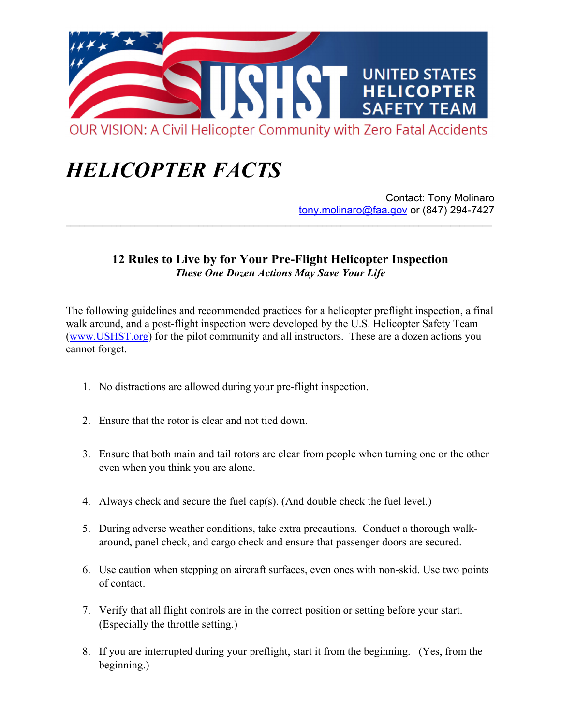

## *HELICOPTER FACTS*

Contact: Tony Molinaro tony.molinaro@faa.gov or (847) 294-7427

## **12 Rules to Live by for Your Pre-Flight Helicopter Inspection**  *These One Dozen Actions May Save Your Life*

**\_\_\_\_\_\_\_\_\_\_\_\_\_\_\_\_\_\_\_\_\_\_\_\_\_\_\_\_\_\_\_\_\_\_\_\_\_\_\_\_\_\_\_\_\_\_\_\_\_\_\_\_\_\_\_\_\_\_\_\_\_\_\_\_\_\_\_\_\_\_\_\_\_\_\_\_\_\_\_\_\_\_\_\_\_\_\_\_\_\_\_\_\_**

The following guidelines and recommended practices for a helicopter preflight inspection, a final walk around, and a post-flight inspection were developed by the U.S. Helicopter Safety Team (www.USHST.org) for the pilot community and all instructors. These are a dozen actions you cannot forget.

- 1. No distractions are allowed during your pre-flight inspection.
- 2. Ensure that the rotor is clear and not tied down.
- 3. Ensure that both main and tail rotors are clear from people when turning one or the other even when you think you are alone.
- 4. Always check and secure the fuel cap(s). (And double check the fuel level.)
- 5. During adverse weather conditions, take extra precautions. Conduct a thorough walkaround, panel check, and cargo check and ensure that passenger doors are secured.
- 6. Use caution when stepping on aircraft surfaces, even ones with non-skid. Use two points of contact.
- 7. Verify that all flight controls are in the correct position or setting before your start. (Especially the throttle setting.)
- 8. If you are interrupted during your preflight, start it from the beginning. (Yes, from the beginning.)